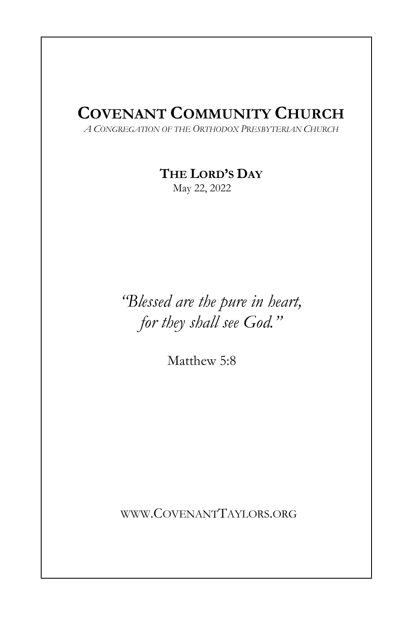# COVENANT COMMUNITY CHURCH

I

A CONGREGATION OF THE ORTHODOX PRESBYTERIAN CHURCH

THE LORD'S DAY

May 22, 2022

"Blessed are the pure in heart, for they shall see God."

Matthew 5:8

WWW.COVENANTTAYLORS.ORG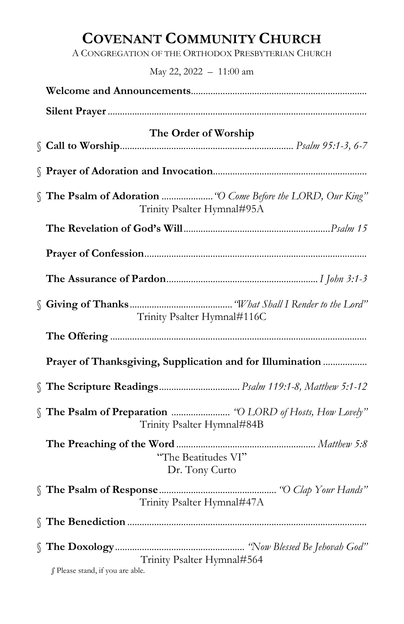# COVENANT COMMUNITY CHURCH

A CONGREGATION OF THE ORTHODOX PRESBYTERIAN CHURCH

May 22, 2022 – 11:00 am

| The Order of Worship                                                                       |  |  |
|--------------------------------------------------------------------------------------------|--|--|
|                                                                                            |  |  |
| S The Psalm of Adoration  "O Come Before the LORD, Our King"<br>Trinity Psalter Hymnal#95A |  |  |
|                                                                                            |  |  |
|                                                                                            |  |  |
|                                                                                            |  |  |
| Trinity Psalter Hymnal#116C                                                                |  |  |
|                                                                                            |  |  |
| Prayer of Thanksgiving, Supplication and for Illumination                                  |  |  |
|                                                                                            |  |  |
| Trinity Psalter Hymnal#84B                                                                 |  |  |
| "The Beatitudes VI"<br>Dr. Tony Curto                                                      |  |  |
| Trinity Psalter Hymnal#47A                                                                 |  |  |
|                                                                                            |  |  |
|                                                                                            |  |  |
| Trinity Psalter Hymnal#564<br>§ Please stand, if you are able.                             |  |  |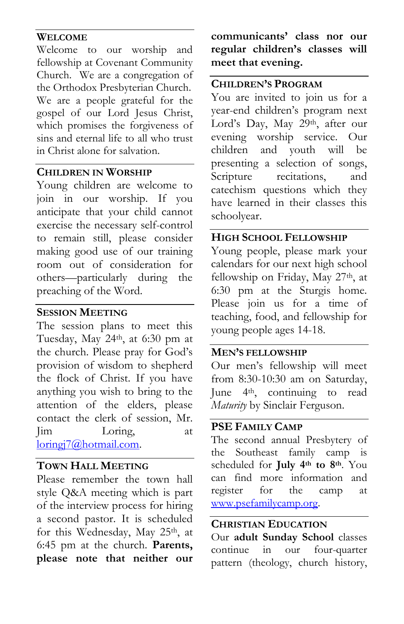#### WELCOME

Welcome to our worship and fellowship at Covenant Community Church. We are a congregation of the Orthodox Presbyterian Church. We are a people grateful for the gospel of our Lord Jesus Christ, which promises the forgiveness of sins and eternal life to all who trust in Christ alone for salvation.

#### CHILDREN IN WORSHIP

Young children are welcome to join in our worship. If you anticipate that your child cannot exercise the necessary self-control to remain still, please consider making good use of our training room out of consideration for others—particularly during the preaching of the Word.

### SESSION MEETING

The session plans to meet this Tuesday, May 24th, at 6:30 pm at the church. Please pray for God's provision of wisdom to shepherd the flock of Christ. If you have anything you wish to bring to the attention of the elders, please contact the clerk of session, Mr. Jim Loring, at loringj7@hotmail.com.

# TOWN HALL MEETING

Please remember the town hall style Q&A meeting which is part of the interview process for hiring a second pastor. It is scheduled for this Wednesday, May 25th, at 6:45 pm at the church. Parents, please note that neither our

communicants' class nor our regular children's classes will meet that evening.

# CHILDREN'S PROGRAM

You are invited to join us for a year-end children's program next Lord's Day, May 29th, after our evening worship service. Our children and youth will be presenting a selection of songs, Scripture recitations, and catechism questions which they have learned in their classes this schoolyear.

# HIGH SCHOOL FELLOWSHIP

Young people, please mark your calendars for our next high school fellowship on Friday, May 27<sup>th</sup>, at 6:30 pm at the Sturgis home. Please join us for a time of teaching, food, and fellowship for young people ages 14-18.

## MEN'S FELLOWSHIP

Our men's fellowship will meet from 8:30-10:30 am on Saturday, June 4th, continuing to read Maturity by Sinclair Ferguson.

## PSE FAMILY CAMP

The second annual Presbytery of the Southeast family camp is scheduled for July 4<sup>th</sup> to 8<sup>th</sup>. You can find more information and register for the camp at www.psefamilycamp.org.

### CHRISTIAN EDUCATION

Our adult Sunday School classes continue in our four-quarter pattern (theology, church history,